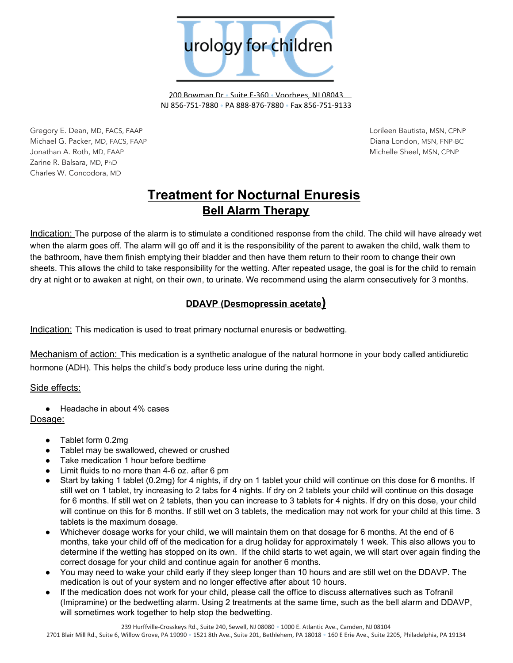

200 Bowman Dr • Suite E-360 • Voorhees, NJ 08043 NJ 856-751-7880 • PA 888-876-7880 • Fax 856-751-9133

Gregory E. Dean, MD, FACS, FAAP Lorileen Bautista, MSN, CPNP Michael G. Packer, MD, FACS, FAAP Diana London, MSN, FNP-BC Jonathan A. Roth, MD, FAAP Michelle Sheel, MSN, CPNP Zarine R. Balsara, MD, PhD Charles W. Concodora, MD

# **Treatment for Nocturnal Enuresis Bell Alarm Therapy**

Indication: The purpose of the alarm is to stimulate a conditioned response from the child. The child will have already wet when the alarm goes off. The alarm will go off and it is the responsibility of the parent to awaken the child, walk them to the bathroom, have them finish emptying their bladder and then have them return to their room to change their own sheets. This allows the child to take responsibility for the wetting. After repeated usage, the goal is for the child to remain dry at night or to awaken at night, on their own, to urinate. We recommend using the alarm consecutively for 3 months.

## **DDAVP (Desmopressin acetate)**

Indication: This medication is used to treat primary nocturnal enuresis or bedwetting.

Mechanism of action: This medication is a synthetic analogue of the natural hormone in your body called antidiuretic hormone (ADH). This helps the child's body produce less urine during the night.

Side effects:

Headache in about 4% cases

## Dosage:

- Tablet form 0.2mg
- Tablet may be swallowed, chewed or crushed
- Take medication 1 hour before bedtime
- Limit fluids to no more than  $4-6$  oz. after 6 pm
- Start by taking 1 tablet (0.2mg) for 4 nights, if dry on 1 tablet your child will continue on this dose for 6 months. If still wet on 1 tablet, try increasing to 2 tabs for 4 nights. If dry on 2 tablets your child will continue on this dosage for 6 months. If still wet on 2 tablets, then you can increase to 3 tablets for 4 nights. If dry on this dose, your child will continue on this for 6 months. If still wet on 3 tablets, the medication may not work for your child at this time. 3 tablets is the maximum dosage.
- Whichever dosage works for your child, we will maintain them on that dosage for 6 months. At the end of 6 months, take your child off of the medication for a drug holiday for approximately 1 week. This also allows you to determine if the wetting has stopped on its own. If the child starts to wet again, we will start over again finding the correct dosage for your child and continue again for another 6 months.
- You may need to wake your child early if they sleep longer than 10 hours and are still wet on the DDAVP. The medication is out of your system and no longer effective after about 10 hours.
- If the medication does not work for your child, please call the office to discuss alternatives such as Tofranil (Imipramine) or the bedwetting alarm. Using 2 treatments at the same time, such as the bell alarm and DDAVP, will sometimes work together to help stop the bedwetting.